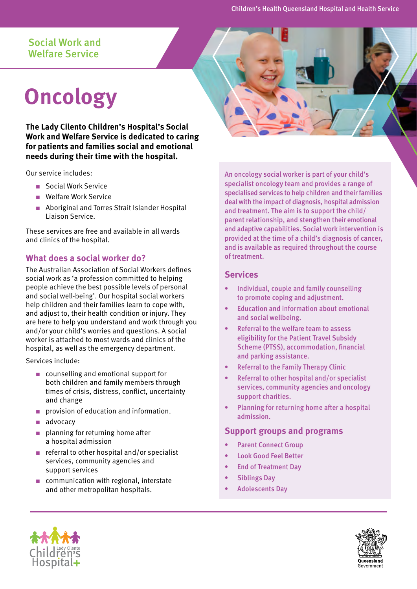# Social Work and Welfare Service

# **Oncology**

**The Lady Cilento Children's Hospital's Social Work and Welfare Service is dedicated to caring for patients and families social and emotional needs during their time with the hospital.** 

Our service includes:

- Social Work Service
- Welfare Work Service
- Aboriginal and Torres Strait Islander Hospital Liaison Service.

These services are free and available in all wards and clinics of the hospital.

## **What does a social worker do?**

The Australian Association of Social Workers defines social work as 'a profession committed to helping people achieve the best possible levels of personal and social well-being'. Our hospital social workers help children and their families learn to cope with, and adjust to, their health condition or injury. They are here to help you understand and work through you and/or your child's worries and questions. A social worker is attached to most wards and clinics of the hospital, as well as the emergency department.

Services include:

- counselling and emotional support for both children and family members through times of crisis, distress, conflict, uncertainty and change
- provision of education and information.
- advocacy
- planning for returning home after a hospital admission
- referral to other hospital and/or specialist services, community agencies and support services
- communication with regional, interstate and other metropolitan hospitals.

An oncology social worker is part of your child's specialist oncology team and provides a range of specialised services to help children and their families deal with the impact of diagnosis, hospital admission and treatment. The aim is to support the child/ parent relationship, and stengthen their emotional and adaptive capabilities. Social work intervention is provided at the time of a child's diagnosis of cancer, and is available as required throughout the course of treatment.

## **Services**

- Individual, couple and family counselling to promote coping and adjustment.
- Education and information about emotional and social wellbeing.
- Referral to the welfare team to assess eligibility for the Patient Travel Subsidy Scheme (PTSS), accommodation, financial and parking assistance.
- Referral to the Family Therapy Clinic
- Referral to other hospital and/or specialist services, community agencies and oncology support charities.
- Planning for returning home after a hospital admission.

## **Support groups and programs**

- Parent Connect Group
- Look Good Feel Better
- End of Treatment Day
- Siblings Day
- Adolescents Day